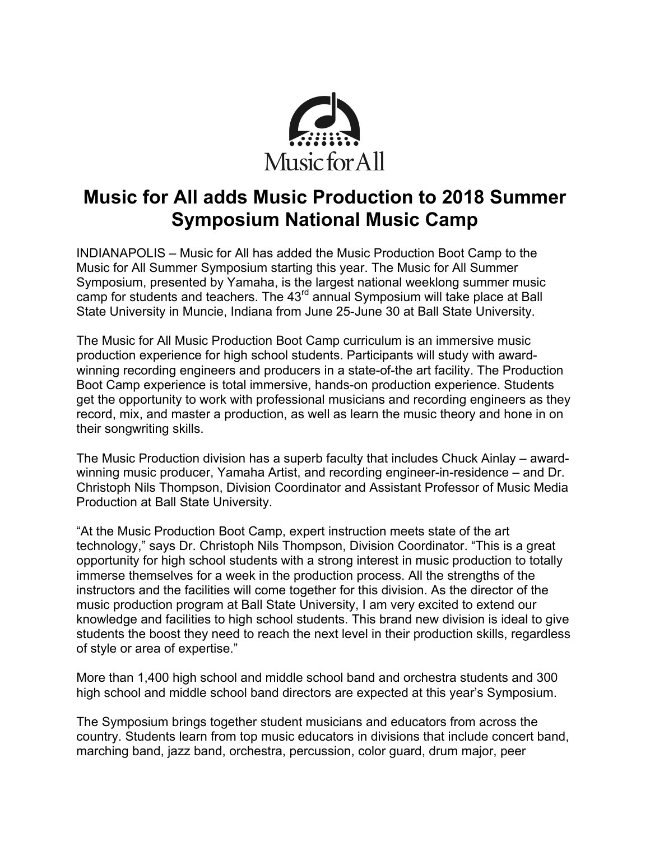

## **Music for All adds Music Production to 2018 Summer Symposium National Music Camp**

INDIANAPOLIS – Music for All has added the Music Production Boot Camp to the Music for All Summer Symposium starting this year. The Music for All Summer Symposium, presented by Yamaha, is the largest national weeklong summer music camp for students and teachers. The 43<sup>rd</sup> annual Symposium will take place at Ball State University in Muncie, Indiana from June 25-June 30 at Ball State University.

The Music for All Music Production Boot Camp curriculum is an immersive music production experience for high school students. Participants will study with awardwinning recording engineers and producers in a state-of-the art facility. The Production Boot Camp experience is total immersive, hands-on production experience. Students get the opportunity to work with professional musicians and recording engineers as they record, mix, and master a production, as well as learn the music theory and hone in on their songwriting skills.

The Music Production division has a superb faculty that includes Chuck Ainlay – awardwinning music producer, Yamaha Artist, and recording engineer-in-residence – and Dr. Christoph Nils Thompson, Division Coordinator and Assistant Professor of Music Media Production at Ball State University.

"At the Music Production Boot Camp, expert instruction meets state of the art technology," says Dr. Christoph Nils Thompson, Division Coordinator. "This is a great opportunity for high school students with a strong interest in music production to totally immerse themselves for a week in the production process. All the strengths of the instructors and the facilities will come together for this division. As the director of the music production program at Ball State University, I am very excited to extend our knowledge and facilities to high school students. This brand new division is ideal to give students the boost they need to reach the next level in their production skills, regardless of style or area of expertise."

More than 1,400 high school and middle school band and orchestra students and 300 high school and middle school band directors are expected at this year's Symposium.

The Symposium brings together student musicians and educators from across the country. Students learn from top music educators in divisions that include concert band, marching band, jazz band, orchestra, percussion, color guard, drum major, peer